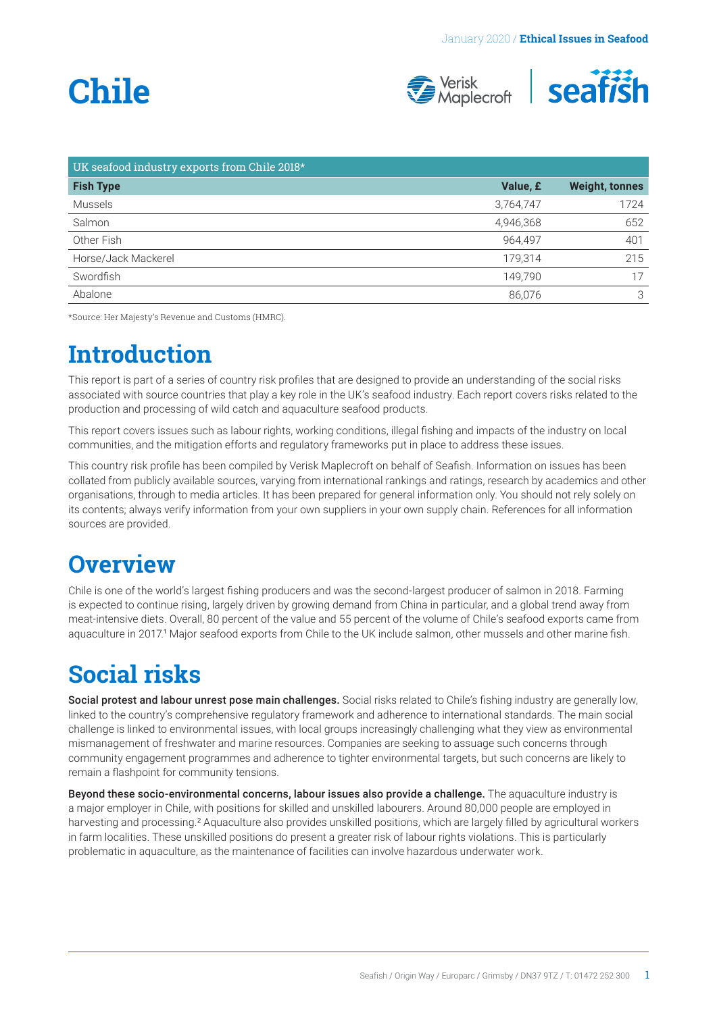# <span id="page-0-0"></span>**Chile**



| UK seafood industry exports from Chile 2018* |           |                       |
|----------------------------------------------|-----------|-----------------------|
| <b>Fish Type</b>                             | Value, £  | <b>Weight, tonnes</b> |
| Mussels                                      | 3,764,747 | 1724                  |
| Salmon                                       | 4,946,368 | 652                   |
| Other Fish                                   | 964,497   | 401                   |
| Horse/Jack Mackerel                          | 179.314   | 215                   |
| Swordfish                                    | 149.790   | 17                    |
| Abalone                                      | 86,076    | 3                     |

\*Source: Her Majesty's Revenue and Customs (HMRC).

## **Introduction**

This report is part of a series of country risk profiles that are designed to provide an understanding of the social risks associated with source countries that play a key role in the UK's seafood industry. Each report covers risks related to the production and processing of wild catch and aquaculture seafood products.

This report covers issues such as labour rights, working conditions, illegal fishing and impacts of the industry on local communities, and the mitigation efforts and regulatory frameworks put in place to address these issues.

This country risk profile has been compiled by Verisk Maplecroft on behalf of Seafish. Information on issues has been collated from publicly available sources, varying from international rankings and ratings, research by academics and other organisations, through to media articles. It has been prepared for general information only. You should not rely solely on its contents; always verify information from your own suppliers in your own supply chain. References for all information sources are provided.

### **Overview**

Chile is one of the world's largest fishing producers and was the second-largest producer of salmon in 2018. Farming is expected to continue rising, largely driven by growing demand from China in particular, and a global trend away from meat-intensive diets. Overall, 80 percent of the value and 55 percent of the volume of Chile's seafood exports came from aquaculture in 2017.[1](#page-3-0) Major seafood exports from Chile to the UK include salmon, other mussels and other marine fish.

# **Social risks**

Social protest and labour unrest pose main challenges. Social risks related to Chile's fishing industry are generally low, linked to the country's comprehensive regulatory framework and adherence to international standards. The main social challenge is linked to environmental issues, with local groups increasingly challenging what they view as environmental mismanagement of freshwater and marine resources. Companies are seeking to assuage such concerns through community engagement programmes and adherence to tighter environmental targets, but such concerns are likely to remain a flashpoint for community tensions.

Beyond these socio-environmental concerns, labour issues also provide a challenge. The aquaculture industry is a major employer in Chile, with positions for skilled and unskilled labourers. Around 80,000 people are employed in harvesting and processing.<sup>[2](#page-3-0)</sup> Aquaculture also provides unskilled positions, which are largely filled by agricultural workers in farm localities. These unskilled positions do present a greater risk of labour rights violations. This is particularly problematic in aquaculture, as the maintenance of facilities can involve hazardous underwater work.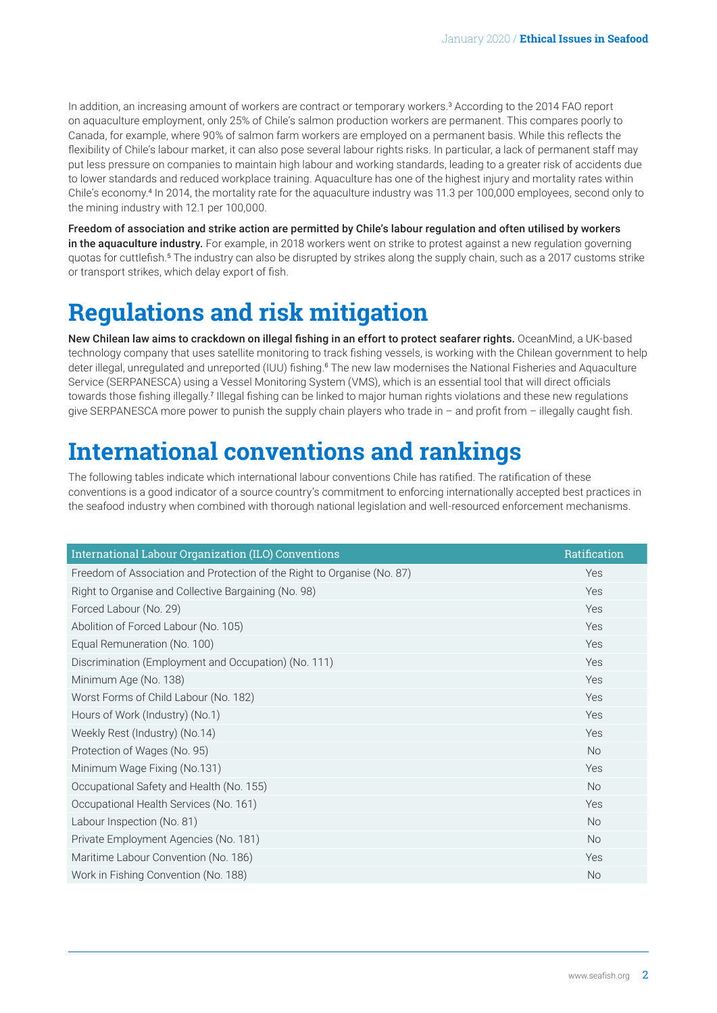<span id="page-1-0"></span>In addition, an increasing amount of workers are contract or temporary workers.[3](#page-3-0) According to the 2014 FAO report on aquaculture employment, only 25% of Chile's salmon production workers are permanent. This compares poorly to Canada, for example, where 90% of salmon farm workers are employed on a permanent basis. While this reflects the flexibility of Chile's labour market, it can also pose several labour rights risks. In particular, a lack of permanent staff may put less pressure on companies to maintain high labour and working standards, leading to a greater risk of accidents due to lower standards and reduced workplace training. Aquaculture has one of the highest injury and mortality rates within Chile's economy.[4](#page-3-0) In 2014, the mortality rate for the aquaculture industry was 11.3 per 100,000 employees, second only to the mining industry with 12.1 per 100,000.

Freedom of association and strike action are permitted by Chile's labour regulation and often utilised by workers in the aquaculture industry. For example, in 2018 workers went on strike to protest against a new regulation governing quotas for cuttlefish.<sup>s</sup> The industry can also be disrupted by strikes along the supply chain, such as a 2017 customs strike or transport strikes, which delay export of fish.

# **Regulations and risk mitigation**

New Chilean law aims to crackdown on illegal fishing in an effort to protect seafarer rights. OceanMind, a UK-based technology company that uses satellite monitoring to track fishing vessels, is working with the Chilean government to help deter illegal, unregulated and unreported (IUU) fishing.<sup>[6](#page-3-0)</sup> The new law modernises the National Fisheries and Aquaculture Service (SERPANESCA) using a Vessel Monitoring System (VMS), which is an essential tool that will direct officials towards those fishing illegally.<sup>[7](#page-3-0)</sup> Illegal fishing can be linked to major human rights violations and these new regulations give SERPANESCA more power to punish the supply chain players who trade in – and profit from – illegally caught fish.

# **International conventions and rankings**

The following tables indicate which international labour conventions Chile has ratified. The ratification of these conventions is a good indicator of a source country's commitment to enforcing internationally accepted best practices in the seafood industry when combined with thorough national legislation and well-resourced enforcement mechanisms.

| International Labour Organization (ILO) Conventions                     | Ratification |
|-------------------------------------------------------------------------|--------------|
| Freedom of Association and Protection of the Right to Organise (No. 87) | Yes          |
| Right to Organise and Collective Bargaining (No. 98)                    | Yes          |
| Forced Labour (No. 29)                                                  | Yes          |
| Abolition of Forced Labour (No. 105)                                    | Yes          |
| Equal Remuneration (No. 100)                                            | Yes          |
| Discrimination (Employment and Occupation) (No. 111)                    | Yes          |
| Minimum Age (No. 138)                                                   | Yes          |
| Worst Forms of Child Labour (No. 182)                                   | Yes          |
| Hours of Work (Industry) (No.1)                                         | Yes          |
| Weekly Rest (Industry) (No.14)                                          | Yes          |
| Protection of Wages (No. 95)                                            | <b>No</b>    |
| Minimum Wage Fixing (No.131)                                            | Yes          |
| Occupational Safety and Health (No. 155)                                | <b>No</b>    |
| Occupational Health Services (No. 161)                                  | Yes          |
| Labour Inspection (No. 81)                                              | <b>No</b>    |
| Private Employment Agencies (No. 181)                                   | <b>No</b>    |
| Maritime Labour Convention (No. 186)                                    | Yes          |
| Work in Fishing Convention (No. 188)                                    | <b>No</b>    |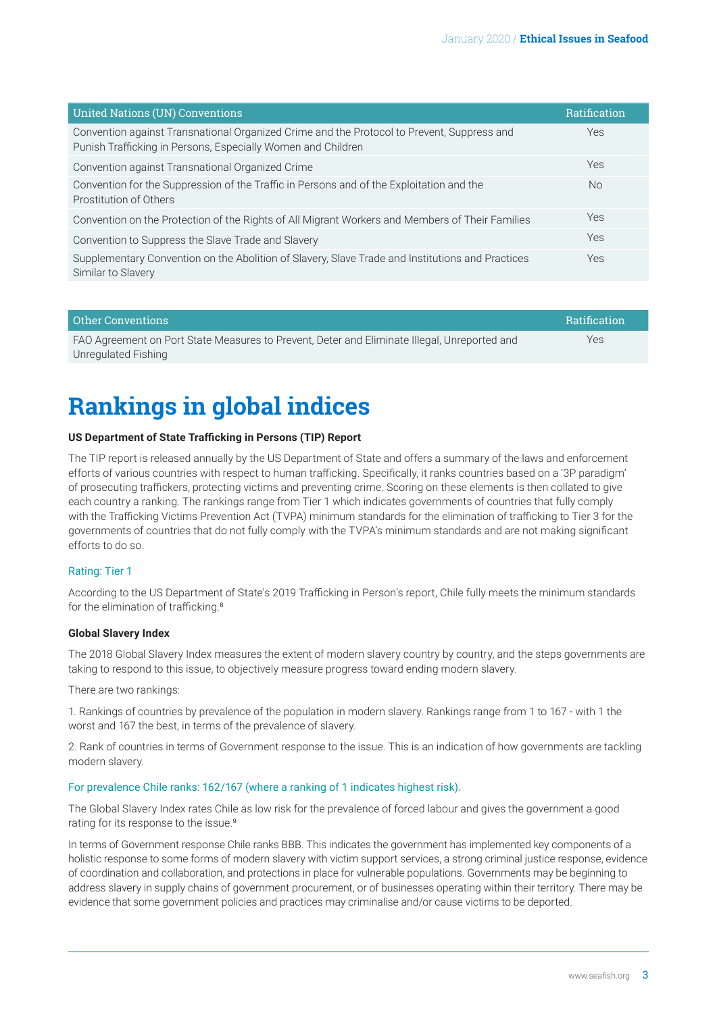<span id="page-2-0"></span>

| <b>United Nations (UN) Conventions</b>                                                                                                                     | <b>Ratification</b> |
|------------------------------------------------------------------------------------------------------------------------------------------------------------|---------------------|
| Convention against Transnational Organized Crime and the Protocol to Prevent, Suppress and<br>Punish Trafficking in Persons, Especially Women and Children | Yes                 |
| Convention against Transnational Organized Crime                                                                                                           | Yes                 |
| Convention for the Suppression of the Traffic in Persons and of the Exploitation and the<br>Prostitution of Others                                         | <b>No</b>           |
| Convention on the Protection of the Rights of All Migrant Workers and Members of Their Families                                                            | Yes                 |
| Convention to Suppress the Slave Trade and Slavery                                                                                                         | Yes                 |
| Supplementary Convention on the Abolition of Slavery, Slave Trade and Institutions and Practices<br>Similar to Slavery                                     | Yes                 |

| Other Conventions                                                                            | <b>Ratification</b> |
|----------------------------------------------------------------------------------------------|---------------------|
| FAO Agreement on Port State Measures to Prevent, Deter and Eliminate Illegal, Unreported and | Yes                 |
| Unregulated Fishing                                                                          |                     |

# **Rankings in global indices**

#### **US Department of State Trafficking in Persons (TIP) Report**

The TIP report is released annually by the US Department of State and offers a summary of the laws and enforcement efforts of various countries with respect to human trafficking. Specifically, it ranks countries based on a '3P paradigm' of prosecuting traffickers, protecting victims and preventing crime. Scoring on these elements is then collated to give each country a ranking. The rankings range from Tier 1 which indicates governments of countries that fully comply with the Trafficking Victims Prevention Act (TVPA) minimum standards for the elimination of trafficking to Tier 3 for the governments of countries that do not fully comply with the TVPA's minimum standards and are not making significant efforts to do so.

#### Rating: Tier 1

According to the US Department of State's 2019 Trafficking in Person's report, Chile fully meets the minimum standards for the elimination of trafficking.<sup>[8](#page-3-0)</sup>

#### **Global Slavery Index**

The 2018 Global Slavery Index measures the extent of modern slavery country by country, and the steps governments are taking to respond to this issue, to objectively measure progress toward ending modern slavery.

There are two rankings:

1. Rankings of countries by prevalence of the population in modern slavery. Rankings range from 1 to 167 - with 1 the worst and 167 the best, in terms of the prevalence of slavery.

2. Rank of countries in terms of Government response to the issue. This is an indication of how governments are tackling modern slavery.

#### For prevalence Chile ranks: 162/167 (where a ranking of 1 indicates highest risk).

The Global Slavery Index rates Chile as low risk for the prevalence of forced labour and gives the government a good rating for its response to the issue.<sup>[9](#page-3-0)</sup>

In terms of Government response Chile ranks BBB. This indicates the government has implemented key components of a holistic response to some forms of modern slavery with victim support services, a strong criminal justice response, evidence of coordination and collaboration, and protections in place for vulnerable populations. Governments may be beginning to address slavery in supply chains of government procurement, or of businesses operating within their territory. There may be evidence that some government policies and practices may criminalise and/or cause victims to be deported.